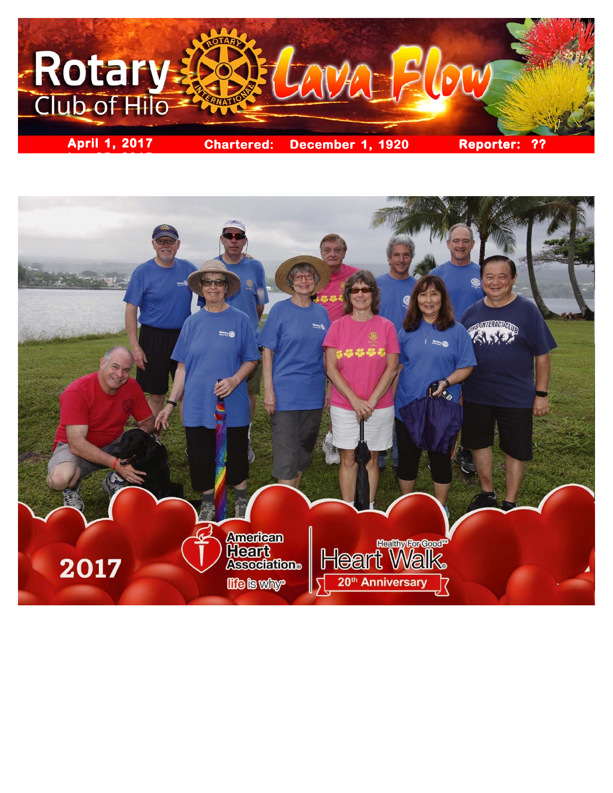

**ber 25, 2015**

**STILBOOTOLOGI Rotary (R)** ాజ ER. **American Reservance : 1989 - 1989 - 1989 - 1989 - 1989 - 1989 - 1989 - 1989 - 1989 - 1989 - 1989 - 1989 - 198 Heart**<br>Association: 2017 20<sup>th</sup> Anniversary **Hie is why-**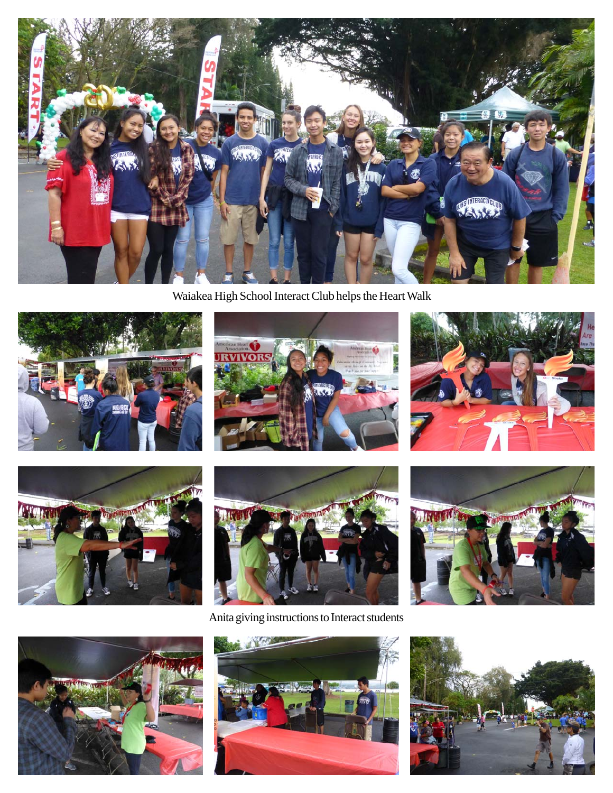

Waiakea High School Interact Club helps the Heart Walk











Anita giving instructions to Interact students